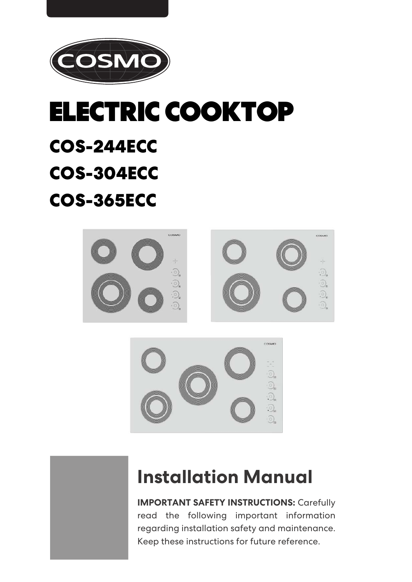

## **ELECTRIC COOKTOP**

# COS-244ECC

## COS-304ECC

## COS-365ECC



## **Installation Manual**

**IMPORTANT SAFETY INSTRUCTIONS: Carefully** read the following important information regarding installation safety and maintenance. Keep these instructions for future reference.

O)

Q. a)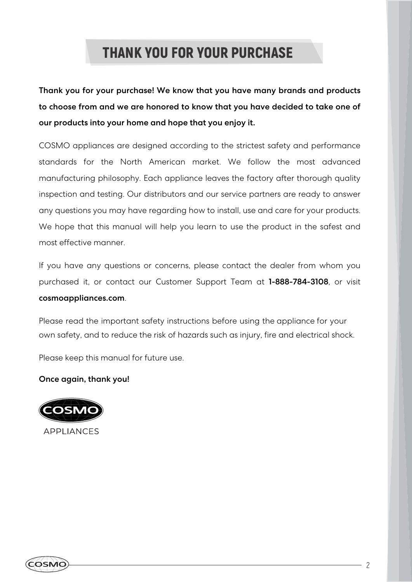### **THANK YOU FOR YOUR PURCHASE**

Thank you for your purchase! We know that you have many brands and products to choose from and we are honored to know that you have decided to take one of our products into your home and hope that you enjoy it.

COSMO appliances are designed according to the strictest safety and performance standards for the North American market. We follow the most advanced manufacturing philosophy. Each appliance leaves the factory after thorough quality inspection and testing. Our distributors and our service partners are ready to answer any questions you may have regarding how to install, use and care for your products. We hope that this manual will help you learn to use the product in the safest and most effective manner.

If you have any questions or concerns, please contact the dealer from whom you purchased it, or contact our Customer Support Team at 1-888-784-3108, or visit cosmoappliances.com.

Please read the important safety instructions before using the appliance for your own safety, and to reduce the risk of hazards such as injury, fire and electrical shock.

Please keep this manual for future use.

Once again, thank you!



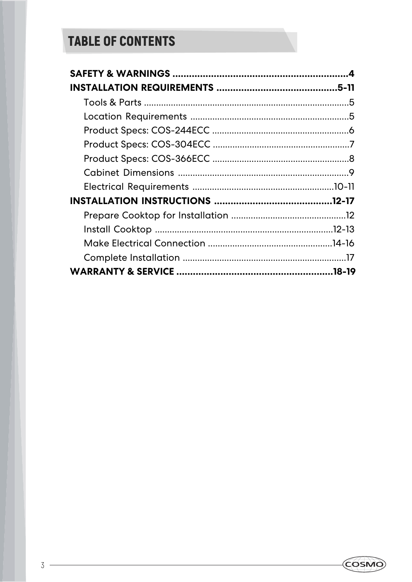### **TABLE OF CONTENTS**

<u> 1980 - Johann Barn, fransk politik (d. 1980)</u>

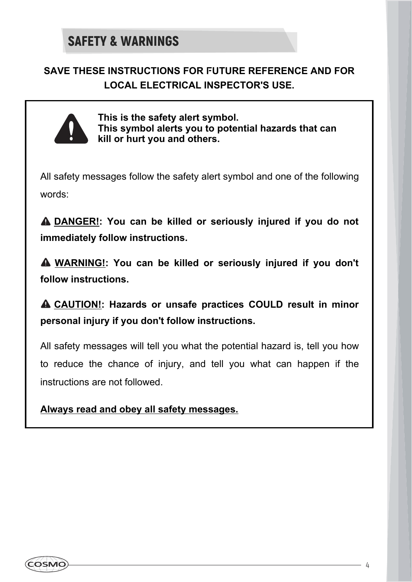### **SAVE THESE INSTRUCTIONS FOR FUTURE REFERENCE AND FOR LOCAL ELECTRICAL INSPECTOR'S USE.**



**This is the safety alert symbol. This symbol alerts you to potential hazards that can kill or hurt you and others.**

All safety messages follow the safety alert symbol and one of the following words:

 **DANGER!: You can be killed or seriously injured if you do not immediately follow instructions.**

 **WARNING!: You can be killed or seriously injured if you don't follow instructions.**

 **CAUTION!: Hazards or unsafe practices COULD result in minor personal injury if you don't follow instructions.**

All safety messages will tell you what the potential hazard is, tell you how to reduce the chance of injury, and tell you what can happen if the instructions are not followed.

**Always read and obey all safety messages.**

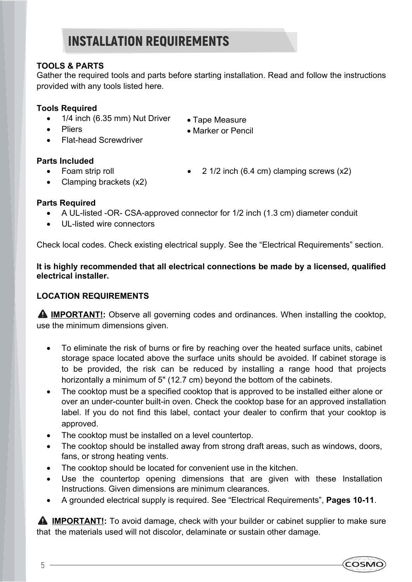#### **TOOLS & PARTS**

Gather the required tools and parts before starting installation. Read and follow the instructions provided with any tools listed here.

#### **Tools Required**

- 1/4 inch (6.35 mm) Nut Driver
- Tape Measure • Marker or Pencil
- Pliers
- Flat-head Screwdriver

#### **Parts Included**

Foam strip roll

- 2 1/2 inch (6.4 cm) clamping screws (x2)
- Clamping brackets (x2)
- 

#### **Parts Required**

- A UL-listed -OR- CSA-approved connector for 1/2 inch (1.3 cm) diameter conduit
- UL-listed wire connectors

Check local codes. Check existing electrical supply. See the "Electrical Requirements" section.

**It is highly recommended that all electrical connections be made by a licensed, qualified electrical installer.**

#### **LOCATION REQUIREMENTS**

**A IMPORTANT!:** Observe all governing codes and ordinances. When installing the cooktop, use the minimum dimensions given.

- To eliminate the risk of burns or fire by reaching over the heated surface units, cabinet storage space located above the surface units should be avoided. If cabinet storage is to be provided, the risk can be reduced by installing a range hood that projects horizontally a minimum of 5" (12.7 cm) beyond the bottom of the cabinets.
- The cooktop must be a specified cooktop that is approved to be installed either alone or over an under-counter built-in oven. Check the cooktop base for an approved installation label. If you do not find this label, contact your dealer to confirm that your cooktop is approved.
- The cooktop must be installed on a level countertop.
- The cooktop should be installed away from strong draft areas, such as windows, doors, fans, or strong heating vents.
- The cooktop should be located for convenient use in the kitchen.
- Use the countertop opening dimensions that are given with these Installation Instructions. Given dimensions are minimum clearances.
- A grounded electrical supply is required. See "Electrical Requirements", **Pages 10-11**.

**A** IMPORTANT!: To avoid damage, check with your builder or cabinet supplier to make sure that the materials used will not discolor, delaminate or sustain other damage.

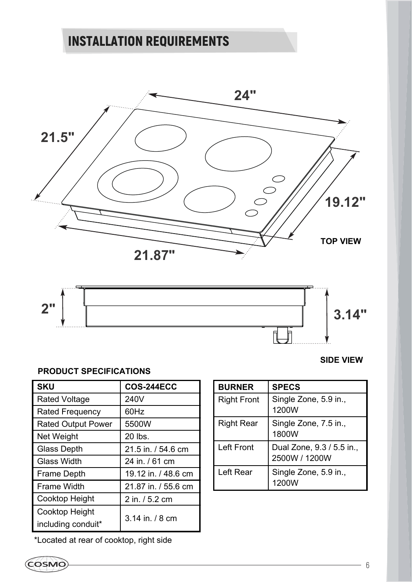



#### **PRODUCT SPECIFICATIONS**

| <b>SKU</b>                | <b>COS-244ECC</b>   |  |
|---------------------------|---------------------|--|
| <b>Rated Voltage</b>      | 240V                |  |
| <b>Rated Frequency</b>    | 60Hz                |  |
| <b>Rated Output Power</b> | 5500W               |  |
| Net Weight                | 20 lbs.             |  |
| <b>Glass Depth</b>        | 21.5 in. / 54.6 cm  |  |
| <b>Glass Width</b>        | 24 in. / 61 cm      |  |
| <b>Frame Depth</b>        | 19.12 in. / 48.6 cm |  |
| <b>Frame Width</b>        | 21.87 in. / 55.6 cm |  |
| <b>Cooktop Height</b>     | 2 in. / 5.2 cm      |  |
| <b>Cooktop Height</b>     | 3.14 in / 8 cm      |  |
| including conduit*        |                     |  |

#### **SIDE VIEW**

| <b>BURNER</b>      | <b>SPECS</b>                               |
|--------------------|--------------------------------------------|
| <b>Right Front</b> | Single Zone, 5.9 in.,<br>1200W             |
| <b>Right Rear</b>  | Single Zone, 7.5 in.,<br>1800W             |
| <b>Left Front</b>  | Dual Zone, 9.3 / 5.5 in.,<br>2500W / 1200W |
| Left Rear          | Single Zone, 5.9 in.,<br>1200W             |

\*Located at rear of cooktop, right side

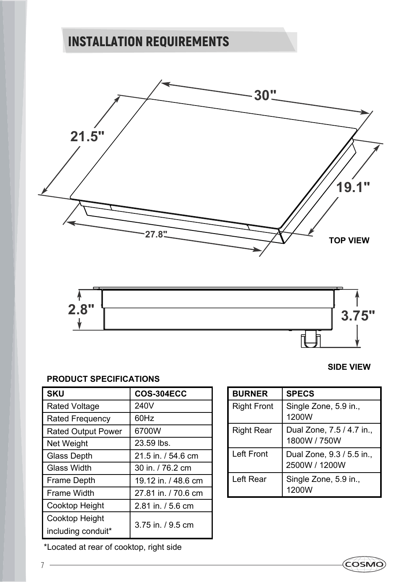



#### **PRODUCT SPECIFICATIONS**

| <b>SKU</b>                | <b>COS-304ECC</b>   |  |
|---------------------------|---------------------|--|
| <b>Rated Voltage</b>      | 240V                |  |
| <b>Rated Frequency</b>    | 60Hz                |  |
| <b>Rated Output Power</b> | 6700W               |  |
| Net Weight                | 23.59 lbs.          |  |
| <b>Glass Depth</b>        | 21.5 in. / 54.6 cm  |  |
| <b>Glass Width</b>        | 30 in. / 76.2 cm    |  |
| <b>Frame Depth</b>        | 19.12 in. / 48.6 cm |  |
| <b>Frame Width</b>        | 27.81 in. / 70.6 cm |  |
| <b>Cooktop Height</b>     | 2.81 in. / 5.6 cm   |  |
| <b>Cooktop Height</b>     | 3.75 in. / 9.5 cm   |  |
| including conduit*        |                     |  |

**SIDE VIEW**

COSMO

| <b>BURNER</b>      | <b>SPECS</b>                               |
|--------------------|--------------------------------------------|
| <b>Right Front</b> | Single Zone, 5.9 in.,<br>1200W             |
| <b>Right Rear</b>  | Dual Zone, 7.5 / 4.7 in.,<br>1800W / 750W  |
| <b>Left Front</b>  | Dual Zone, 9.3 / 5.5 in.,<br>2500W / 1200W |
| Left Rear          | Single Zone, 5.9 in.,<br>1200W             |

\*Located at rear of cooktop, right side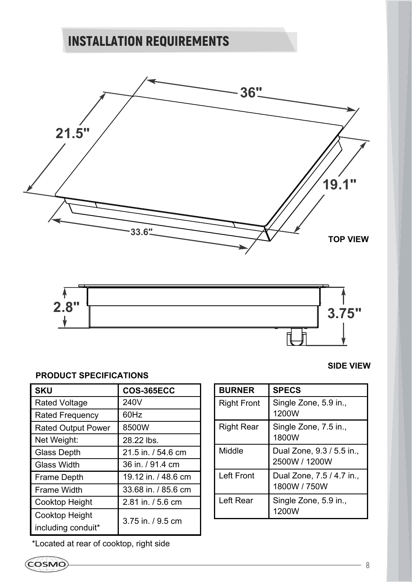



#### **PRODUCT SPECIFICATIONS**

| <b>SKU</b>                | <b>COS-365ECC</b>   |  |
|---------------------------|---------------------|--|
| <b>Rated Voltage</b>      | 240V                |  |
| <b>Rated Frequency</b>    | 60Hz                |  |
| <b>Rated Output Power</b> | 8500W               |  |
| Net Weight:               | 28.22 lbs.          |  |
| <b>Glass Depth</b>        | 21.5 in. / 54.6 cm  |  |
| <b>Glass Width</b>        | 36 in. / 91.4 cm    |  |
| <b>Frame Depth</b>        | 19.12 in. / 48.6 cm |  |
| <b>Frame Width</b>        | 33.68 in / 85.6 cm  |  |
| <b>Cooktop Height</b>     | 2.81 in. / 5.6 cm   |  |
| <b>Cooktop Height</b>     | 3.75 in. / 9.5 cm   |  |
| including conduit*        |                     |  |

\*Located at rear of cooktop, right side

#### **SIDE VIEW**

| <b>BURNER</b>      | <b>SPECS</b>                               |
|--------------------|--------------------------------------------|
| <b>Right Front</b> | Single Zone, 5.9 in.,<br>1200W             |
| <b>Right Rear</b>  | Single Zone, 7.5 in.,<br>1800W             |
| Middle             | Dual Zone, 9.3 / 5.5 in.,<br>2500W / 1200W |
| <b>Left Front</b>  | Dual Zone, 7.5 / 4.7 in.,<br>1800W / 750W  |
| Left Rear          | Single Zone, 5.9 in.,<br>1200W             |

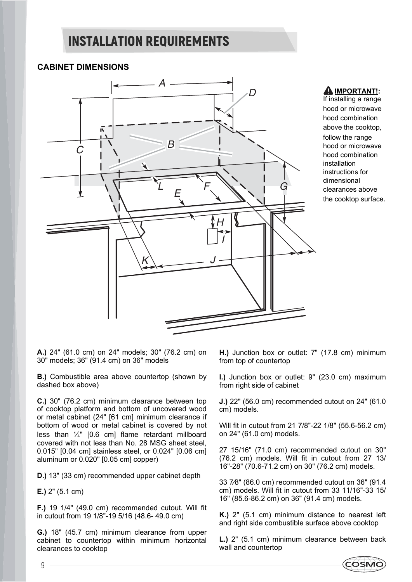#### **CABINET DIMENSIONS**



#### **AIMPORTANT!:**

If installing a range hood or microwave hood combination above the cooktop, follow the range hood or microwave hood combination installation instructions for dimensional clearances above the cooktop surface.

**A.)** 24" (61.0 cm) on 24" models; 30" (76.2 cm) on 30" models; 36" (91.4 cm) on 36" models

**B.)** Combustible area above countertop (shown by dashed box above)

**C.)** 30" (76.2 cm) minimum clearance between top of cooktop platform and bottom of uncovered wood or metal cabinet (24" [61 cm] minimum clearance if bottom of wood or metal cabinet is covered by not less than  $\frac{1}{4}$ " [0.6 cm] flame retardant millboard covered with not less than No. 28 MSG sheet steel, 0.015" [0.04 cm] stainless steel, or 0.024" [0.06 cm] aluminum or 0.020" [0.05 cm] copper)

**D.)** 13" (33 cm) recommended upper cabinet depth

**E.)** 2" (5.1 cm)

**F.)** 19 1/4" (49.0 cm) recommended cutout. Will fit in cutout from 19 1/8"-19 5/16 (48.6- 49.0 cm)

**G.)** 18" (45.7 cm) minimum clearance from upper cabinet to countertop within minimum horizontal clearances to cooktop

**H.)** Junction box or outlet: 7" (17.8 cm) minimum from top of countertop

**I.)** Junction box or outlet: 9" (23.0 cm) maximum from right side of cabinet

**J.)** 22" (56.0 cm) recommended cutout on 24" (61.0 cm) models.

Will fit in cutout from 21 7/8"-22 1/8" (55.6-56.2 cm) on 24" (61.0 cm) models.

27 15/16" (71.0 cm) recommended cutout on 30" (76.2 cm) models. Will fit in cutout from 27 13/ 16"-28" (70.6-71.2 cm) on 30" (76.2 cm) models.

33 7⁄8" (86.0 cm) recommended cutout on 36" (91.4 cm) models. Will fit in cutout from 33 11/16"-33 15/ 16" (85.6-86.2 cm) on 36" (91.4 cm) models.

**K.)** 2" (5.1 cm) minimum distance to nearest left and right side combustible surface above cooktop

**L.)** 2" (5.1 cm) minimum clearance between back wall and countertop

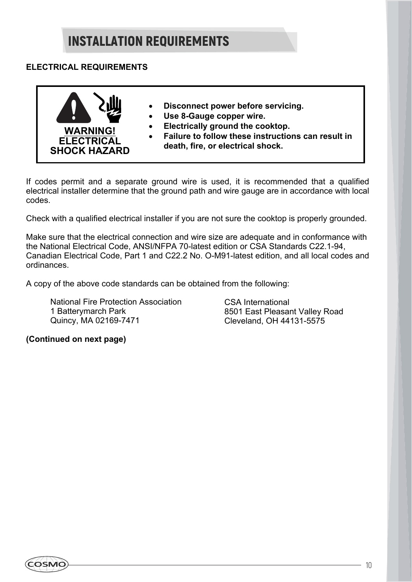#### **ELECTRICAL REQUIREMENTS**



If codes permit and a separate ground wire is used, it is recommended that a qualified electrical installer determine that the ground path and wire gauge are in accordance with local codes.

Check with a qualified electrical installer if you are not sure the cooktop is properly grounded.

Make sure that the electrical connection and wire size are adequate and in conformance with the National Electrical Code, ANSI/NFPA 70-latest edition or CSA Standards C22.1-94, Canadian Electrical Code, Part 1 and C22.2 No. O-M91-latest edition, and all local codes and ordinances.

A copy of the above code standards can be obtained from the following:

National Fire Protection Association 1 Batterymarch Park Quincy, MA 02169-7471

CSA International 8501 East Pleasant Valley Road Cleveland, OH 44131-5575

#### **(Continued on next page)**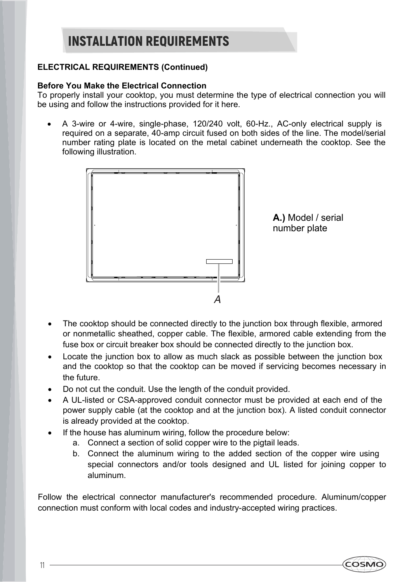#### **ELECTRICAL REQUIREMENTS (Continued)**

#### **Before You Make the Electrical Connection**

To properly install your cooktop, you must determine the type of electrical connection you will be using and follow the instructions provided for it here.

 A 3-wire or 4-wire, single-phase, 120/240 volt, 60-Hz., AC-only electrical supply is required on a separate, 40-amp circuit fused on both sides of the line. The model/serial number rating plate is located on the metal cabinet underneath the cooktop. See the following illustration.



**A.)** Model / serial number plate

- The cooktop should be connected directly to the junction box through flexible, armored or nonmetallic sheathed, copper cable. The flexible, armored cable extending from the fuse box or circuit breaker box should be connected directly to the junction box.
- Locate the junction box to allow as much slack as possible between the junction box and the cooktop so that the cooktop can be moved if servicing becomes necessary in the future.
- Do not cut the conduit. Use the length of the conduit provided.
- A UL-listed or CSA-approved conduit connector must be provided at each end of the power supply cable (at the cooktop and at the junction box). A listed conduit connector is already provided at the cooktop.
- If the house has aluminum wiring, follow the procedure below:
	- a. Connect a section of solid copper wire to the pigtail leads.
	- b. Connect the aluminum wiring to the added section of the copper wire using special connectors and/or tools designed and UL listed for joining copper to aluminum.

Follow the electrical connector manufacturer's recommended procedure. Aluminum/copper connection must conform with local codes and industry-accepted wiring practices.

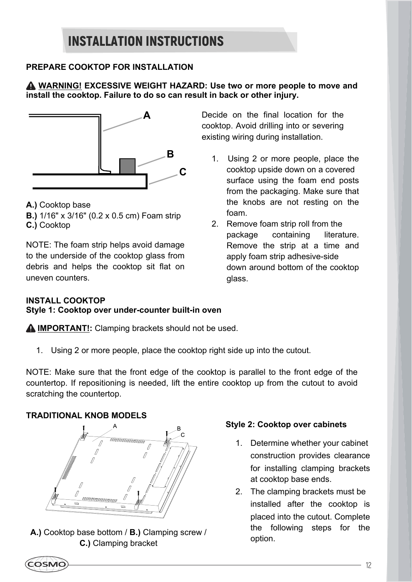#### **PREPARE COOKTOP FOR INSTALLATION**

#### **WARNING! EXCESSIVE WEIGHT HAZARD: Use two or more people to move and install the cooktop. Failure to do so can result in back or other injury.**



**A.)** Cooktop base

- **B.)** 1/16" x 3/16" (0.2 x 0.5 cm) Foam strip
- **C.)** Cooktop

NOTE: The foam strip helps avoid damage to the underside of the cooktop glass from debris and helps the cooktop sit flat on uneven counters.

Decide on the final location for the cooktop. Avoid drilling into or severing existing wiring during installation.

- 1. Using 2 or more people, place the cooktop upside down on a covered surface using the foam end posts from the packaging. Make sure that the knobs are not resting on the foam.
- 2. Remove foam strip roll from the package containing literature. Remove the strip at a time and apply foam strip adhesive-side down around bottom of the cooktop glass.

#### **INSTALL COOKTOP Style 1: Cooktop over under-counter built-in oven**

**A IMPORTANT!:** Clamping brackets should not be used.

1. Using 2 or more people, place the cooktop right side up into the cutout.

NOTE: Make sure that the front edge of the cooktop is parallel to the front edge of the countertop. If repositioning is needed, lift the entire cooktop up from the cutout to avoid scratching the countertop.

#### **TRADITIONAL KNOB MODELS**



**A.)** Cooktop base bottom / **B.)** Clamping screw / **C.)** Clamping bracket

#### **Style 2: Cooktop over cabinets**

- 1. Determine whether your cabinet construction provides clearance for installing clamping brackets at cooktop base ends.
- 2. The clamping brackets must be installed after the cooktop is placed into the cutout. Complete the following steps for the option.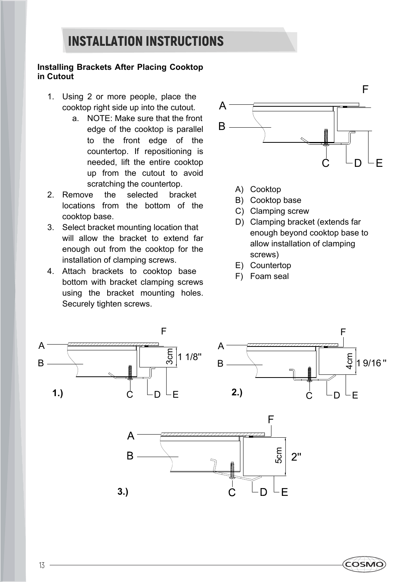#### **Installing Brackets After Placing Cooktop in Cutout**

- 1. Using 2 or more people, place the cooktop right side up into the cutout.
	- a. NOTE: Make sure that the front edge of the cooktop is parallel to the front edge of the countertop. If repositioning is needed, lift the entire cooktop up from the cutout to avoid scratching the countertop.
- 2. Remove the selected bracket locations from the bottom of the cooktop base.
- 3. Select bracket mounting location that will allow the bracket to extend far enough out from the cooktop for the installation of clamping screws.
- 4. Attach brackets to cooktop base bottom with bracket clamping screws using the bracket mounting holes. Securely tighten screws.



- A) Cooktop
- B) Cooktop base
- C) Clamping screw
- D) Clamping bracket (extends far enough beyond cooktop base to allow installation of clamping screws)
- E) Countertop
- F) Foam seal



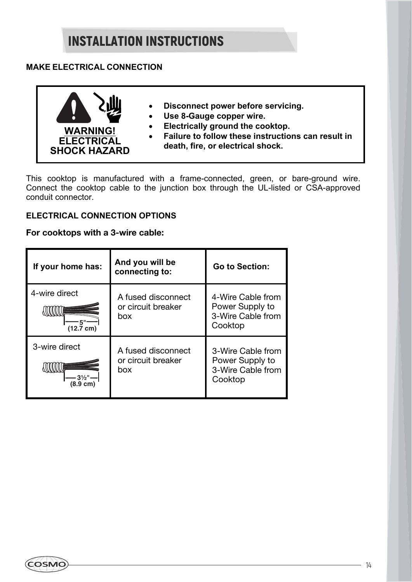#### **MAKE ELECTRICAL CONNECTION**



- **Disconnect power before servicing.**
- **Use 8-Gauge copper wire.**
- **Electrically ground the cooktop.**
- **Failure to follow these instructions can result in death, fire, or electrical shock.**

This cooktop is manufactured with a frame-connected, green, or bare-ground wire. Connect the cooktop cable to the junction box through the UL-listed or CSA-approved conduit connector.

#### **ELECTRICAL CONNECTION OPTIONS**

#### **For cooktops with a 3-wire cable:**

| If your home has:                    | And you will be<br>connecting to:               | <b>Go to Section:</b>                                                |
|--------------------------------------|-------------------------------------------------|----------------------------------------------------------------------|
| 4-wire direct<br>$(12.7 \text{ cm})$ | A fused disconnect<br>or circuit breaker<br>box | 4-Wire Cable from<br>Power Supply to<br>3-Wire Cable from<br>Cooktop |
| 3-wire direct<br>$(8.9 \text{ cm})$  | A fused disconnect<br>or circuit breaker<br>box | 3-Wire Cable from<br>Power Supply to<br>3-Wire Cable from<br>Cooktop |

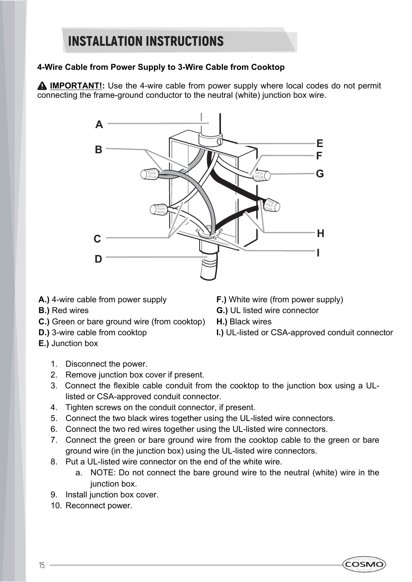#### **4-Wire Cable from Power Supply to 3-Wire Cable from Cooktop**

**A IMPORTANT!:** Use the 4-wire cable from power supply where local codes do not permit connecting the frame-ground conductor to the neutral (white) junction box wire.



- **A.)** 4-wire cable from power supply
- **B.)** Red wires
- **C.)** Green or bare ground wire (from cooktop)
- **D.)** 3-wire cable from cooktop
- **E.)** Junction box
	- 1. Disconnect the power.
	- 2. Remove junction box cover if present.
	- 3. Connect the flexible cable conduit from the cooktop to the junction box using a ULlisted or CSA-approved conduit connector.
	- 4. Tighten screws on the conduit connector, if present.
	- 5. Connect the two black wires together using the UL-listed wire connectors.
	- 6. Connect the two red wires together using the UL-listed wire connectors.
	- 7. Connect the green or bare ground wire from the cooktop cable to the green or bare ground wire (in the junction box) using the UL-listed wire connectors.
	- 8. Put a UL-listed wire connector on the end of the white wire.
		- a. NOTE: Do not connect the bare ground wire to the neutral (white) wire in the junction box.
	- 9. Install junction box cover.
	- 10. Reconnect power.
- **F.)** White wire (from power supply)
- **G.)** UL listed wire connector
- **H.)** Black wires
- **I.)** UL-listed or CSA-approved conduit connector

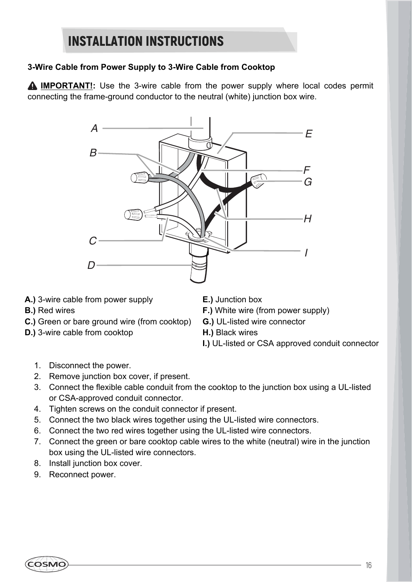#### **3-Wire Cable from Power Supply to 3-Wire Cable from Cooktop**

**A IMPORTANT!:** Use the 3-wire cable from the power supply where local codes permit connecting the frame-ground conductor to the neutral (white) junction box wire.



- **A.)** 3-wire cable from power supply
- **B.)** Red wires
- **C.)** Green or bare ground wire (from cooktop)
- **D.)** 3-wire cable from cooktop
- **E.)** Junction box
- **F.)** White wire (from power supply)
- **G.)** UL-listed wire connector
- **H.)** Black wires
- **I.)** UL-listed or CSA approved conduit connector

- 1. Disconnect the power.
- 2. Remove junction box cover, if present.
- 3. Connect the flexible cable conduit from the cooktop to the junction box using a UL-listed or CSA-approved conduit connector.
- 4. Tighten screws on the conduit connector if present.
- 5. Connect the two black wires together using the UL-listed wire connectors.
- 6. Connect the two red wires together using the UL-listed wire connectors.
- 7. Connect the green or bare cooktop cable wires to the white (neutral) wire in the junction box using the UL-listed wire connectors.
- 8. Install junction box cover.
- 9. Reconnect power.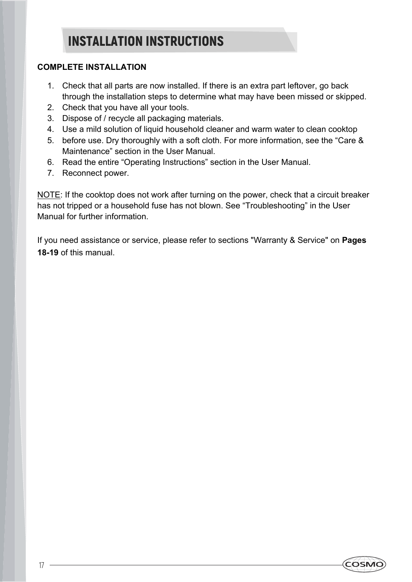#### **COMPLETE INSTALLATION**

- 1. Check that all parts are now installed. If there is an extra part leftover, go back through the installation steps to determine what may have been missed or skipped.
- 2. Check that you have all your tools.
- 3. Dispose of / recycle all packaging materials.
- 4. Use a mild solution of liquid household cleaner and warm water to clean cooktop
- 5. before use. Dry thoroughly with a soft cloth. For more information, see the "Care & Maintenance" section in the User Manual.
- 6. Read the entire "Operating Instructions" section in the User Manual.
- 7. Reconnect power.

NOTE: If the cooktop does not work after turning on the power, check that a circuit breaker has not tripped or a household fuse has not blown. See "Troubleshooting" in the User Manual for further information.

If you need assistance or service, please refer to sections "Warranty & Service" on **Pages 18-19** of this manual.

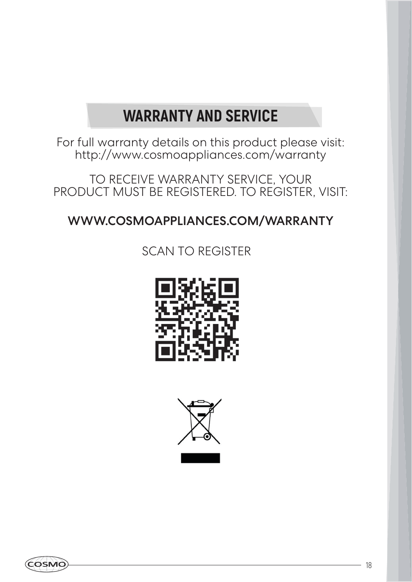### **WARRANTY AND SERVICE**

For full warranty details on this product please visit: http://www.cosmoappliances.com/warranty

TO RECEIVE WARRANTY SERVICE, YOUR PRODUCT MUST BE REGISTERED. TO REGISTER, VISIT:

### WWW.COSMOAPPLIANCES.COM/WARRANTY

### SCAN TO REGISTER





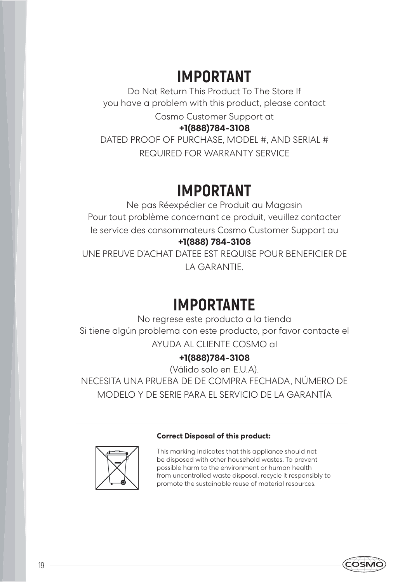### **IMPORTANT**

Do Not Return This Product To The Store If you have a problem with this product, please contact

Cosmo Customer Support at

#### **+1(888)784-3108**

DATED PROOF OF PURCHASE, MODEL #, AND SERIAL # REQUIRED FOR WARRANTY SERVICE

### **IMPORTANT**

Ne pas Réexpédier ce Produit au Magasin Pour tout problème concernant ce produit, veuillez contacter le service des consommateurs Cosmo Customer Support au **+1(888) 784-3108**

UNE PREUVE D'ACHAT DATEE EST REQUISE POUR BENEFICIER DE LA GARANTIE.

### **IMPORTANTE**

No regrese este producto a la tienda Si tiene algún problema con este producto, por favor contacte el AYUDA AL CLIENTE COSMO al

#### **+1(888)784-3108**

(Válido solo en E.U.A). NECESITA UNA PRUEBA DE DE COMPRA FECHADA, NÚMERO DE MODELO Y DE SERIE PARA EL SERVICIO DE LA GARANTÍA

#### **Correct Disposal of this product:**

This marking indicates that this appliance should not be disposed with other household wastes. To prevent possible harm to the environment or human health from uncontrolled waste disposal, recycle it responsibly to promote the sustainable reuse of material resources.